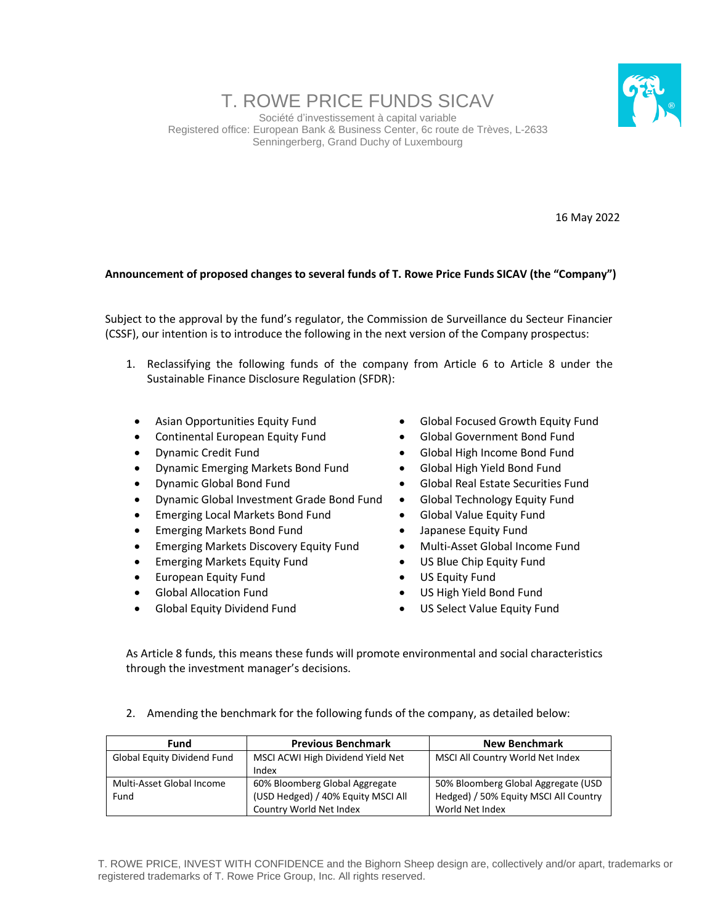## T. ROWE PRICE FUNDS SICAV

Société d'investissement à capital variable Registered office: European Bank & Business Center, 6c route de Trèves, L-2633 Senningerberg, Grand Duchy of Luxembourg



16 May 2022

## **Announcement of proposed changes to several funds of T. Rowe Price Funds SICAV (the "Company")**

Subject to the approval by the fund's regulator, the Commission de Surveillance du Secteur Financier (CSSF), our intention is to introduce the following in the next version of the Company prospectus:

- 1. Reclassifying the following funds of the company from Article 6 to Article 8 under the Sustainable Finance Disclosure Regulation (SFDR):
	- Asian Opportunities Equity Fund
	- Continental European Equity Fund
	- Dynamic Credit Fund
	- Dynamic Emerging Markets Bond Fund
	- Dynamic Global Bond Fund
	- Dynamic Global Investment Grade Bond Fund
	- Emerging Local Markets Bond Fund
	- Emerging Markets Bond Fund
	- Emerging Markets Discovery Equity Fund
	- Emerging Markets Equity Fund
	- European Equity Fund
	- Global Allocation Fund
	- Global Equity Dividend Fund
- Global Focused Growth Equity Fund
- Global Government Bond Fund
- Global High Income Bond Fund
- Global High Yield Bond Fund
- Global Real Estate Securities Fund
- Global Technology Equity Fund
- Global Value Equity Fund
- Japanese Equity Fund
- Multi-Asset Global Income Fund
- US Blue Chip Equity Fund
- US Equity Fund
- US High Yield Bond Fund
- US Select Value Equity Fund

As Article 8 funds, this means these funds will promote environmental and social characteristics through the investment manager's decisions.

2. Amending the benchmark for the following funds of the company, as detailed below:

| Fund                        | <b>Previous Benchmark</b>          | <b>New Benchmark</b>                  |
|-----------------------------|------------------------------------|---------------------------------------|
| Global Equity Dividend Fund | MSCI ACWI High Dividend Yield Net  | MSCI All Country World Net Index      |
|                             | Index                              |                                       |
| Multi-Asset Global Income   | 60% Bloomberg Global Aggregate     | 50% Bloomberg Global Aggregate (USD   |
| Fund                        | (USD Hedged) / 40% Equity MSCI All | Hedged) / 50% Equity MSCI All Country |
|                             | Country World Net Index            | World Net Index                       |

T. ROWE PRICE, INVEST WITH CONFIDENCE and the Bighorn Sheep design are, collectively and/or apart, trademarks or registered trademarks of T. Rowe Price Group, Inc. All rights reserved.